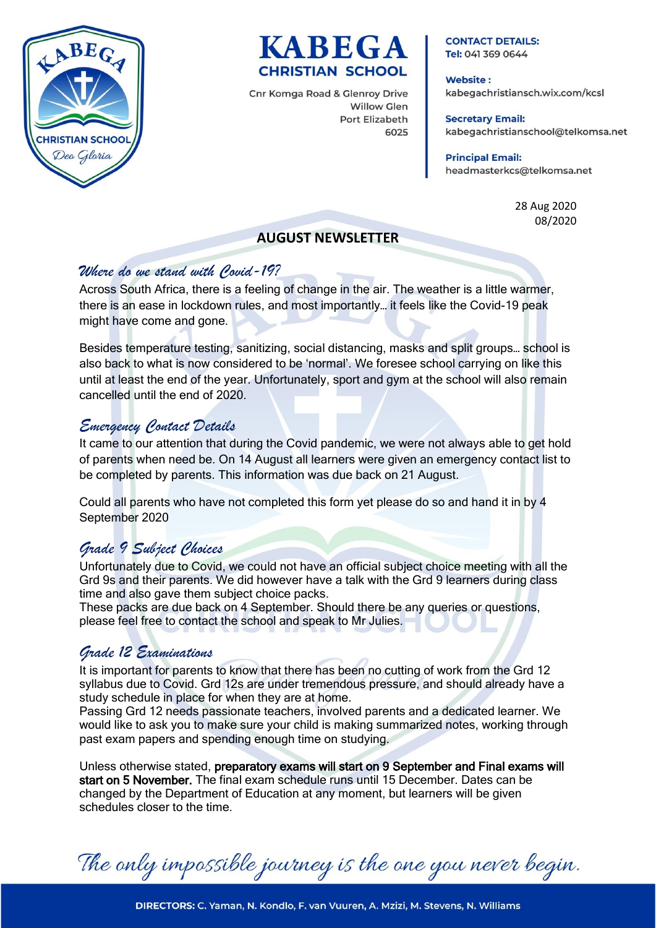



Cnr Komga Road & Glenroy Drive **Willow Glen** Port Elizabeth 6025

#### **CONTACT DETAILS:** Tel: 041 369 0644

**Website:** kabegachristiansch.wix.com/kcsl

**Secretary Email:** kabegachristianschool@telkomsa.net

**Principal Email:** headmasterkcs@telkomsa.net

> 28 Aug 2020 08/2020

## **AUGUST NEWSLETTER**

## *Where do we stand with Covid-19?*

Across South Africa, there is a feeling of change in the air. The weather is a little warmer, there is an ease in lockdown rules, and most importantly… it feels like the Covid-19 peak might have come and gone.

Besides temperature testing, sanitizing, social distancing, masks and split groups… school is also back to what is now considered to be 'normal'. We foresee school carrying on like this until at least the end of the year. Unfortunately, sport and gym at the school will also remain cancelled until the end of 2020.

# *Emergency Contact Details*

It came to our attention that during the Covid pandemic, we were not always able to get hold of parents when need be. On 14 August all learners were given an emergency contact list to be completed by parents. This information was due back on 21 August.

Could all parents who have not completed this form yet please do so and hand it in by 4 September 2020

# *Grade 9 Subject Choices*

Unfortunately due to Covid, we could not have an official subject choice meeting with all the Grd 9s and their parents. We did however have a talk with the Grd 9 learners during class time and also gave them subject choice packs.

These packs are due back on 4 September. Should there be any queries or questions, please feel free to contact the school and speak to Mr Julies.

# *Grade 12 Examinations*

It is important for parents to know that there has been no cutting of work from the Grd 12 syllabus due to Covid. Grd 12s are under tremendous pressure, and should already have a study schedule in place for when they are at home.

Passing Grd 12 needs passionate teachers, involved parents and a dedicated learner. We would like to ask you to make sure your child is making summarized notes, working through past exam papers and spending enough time on studying.

Unless otherwise stated, preparatory exams will start on 9 September and Final exams will start on 5 November. The final exam schedule runs until 15 December. Dates can be changed by the Department of Education at any moment, but learners will be given schedules closer to the time.

The only impossible journey is the one you never begin.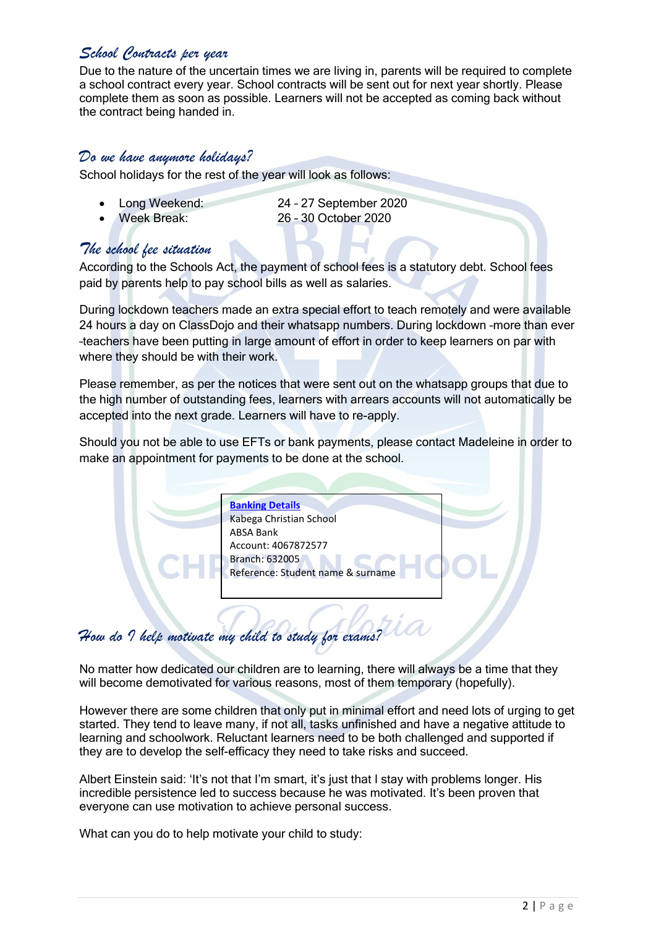# *School Contracts per year*

Due to the nature of the uncertain times we are living in, parents will be required to complete a school contract every year. School contracts will be sent out for next year shortly. Please complete them as soon as possible. Learners will not be accepted as coming back without the contract being handed in.

### *Do we have anymore holidays?*

School holidays for the rest of the year will look as follows:

- 
- Long Weekend: 24 27 September 2020 Week Break: 26 – 30 October 2020

## *The school fee situation*

According to the Schools Act, the payment of school fees is a statutory debt. School fees paid by parents help to pay school bills as well as salaries.

During lockdown teachers made an extra special effort to teach remotely and were available 24 hours a day on ClassDojo and their whatsapp numbers. During lockdown –more than ever –teachers have been putting in large amount of effort in order to keep learners on par with where they should be with their work.

Please remember, as per the notices that were sent out on the whatsapp groups that due to the high number of outstanding fees, learners with arrears accounts will not automatically be accepted into the next grade. Learners will have to re-apply.

Should you not be able to use EFTs or bank payments, please contact Madeleine in order to make an appointment for payments to be done at the school.

> **Banking Details** Kabega Christian School ABSA Bank Account: 4067872577 Branch: 632005 Reference: Student name & surname

# *How do I help motivate my child to study for exams?*

No matter how dedicated our children are to learning, there will always be a time that they will become demotivated for various reasons, most of them temporary (hopefully).

However there are some children that only put in minimal effort and need lots of urging to get started. They tend to leave many, if not all, tasks unfinished and have a negative attitude to learning and schoolwork. Reluctant learners need to be both challenged and supported if they are to develop the self-efficacy they need to take risks and succeed.

Albert Einstein said: 'It's not that I'm smart, it's just that I stay with problems longer. His incredible persistence led to success because he was motivated. It's been proven that everyone can use motivation to achieve personal success.

What can you do to help motivate your child to study: